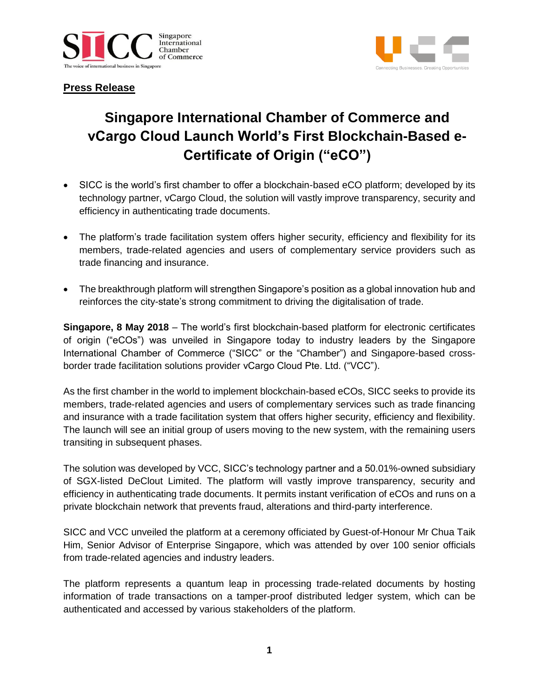



# **Press Release**

# **Singapore International Chamber of Commerce and vCargo Cloud Launch World's First Blockchain-Based e-Certificate of Origin ("eCO")**

- SICC is the world's first chamber to offer a blockchain-based eCO platform; developed by its technology partner, vCargo Cloud, the solution will vastly improve transparency, security and efficiency in authenticating trade documents.
- The platform's trade facilitation system offers higher security, efficiency and flexibility for its members, trade-related agencies and users of complementary service providers such as trade financing and insurance.
- The breakthrough platform will strengthen Singapore's position as a global innovation hub and reinforces the city-state's strong commitment to driving the digitalisation of trade.

**Singapore, 8 May 2018** – The world's first blockchain-based platform for electronic certificates of origin ("eCOs") was unveiled in Singapore today to industry leaders by the Singapore International Chamber of Commerce ("SICC" or the "Chamber") and Singapore-based crossborder trade facilitation solutions provider vCargo Cloud Pte. Ltd. ("VCC").

As the first chamber in the world to implement blockchain-based eCOs, SICC seeks to provide its members, trade-related agencies and users of complementary services such as trade financing and insurance with a trade facilitation system that offers higher security, efficiency and flexibility. The launch will see an initial group of users moving to the new system, with the remaining users transiting in subsequent phases.

The solution was developed by VCC, SICC's technology partner and a 50.01%-owned subsidiary of SGX-listed DeClout Limited. The platform will vastly improve transparency, security and efficiency in authenticating trade documents. It permits instant verification of eCOs and runs on a private blockchain network that prevents fraud, alterations and third-party interference.

SICC and VCC unveiled the platform at a ceremony officiated by Guest-of-Honour Mr Chua Taik Him, Senior Advisor of Enterprise Singapore, which was attended by over 100 senior officials from trade-related agencies and industry leaders.

The platform represents a quantum leap in processing trade-related documents by hosting information of trade transactions on a tamper-proof distributed ledger system, which can be authenticated and accessed by various stakeholders of the platform.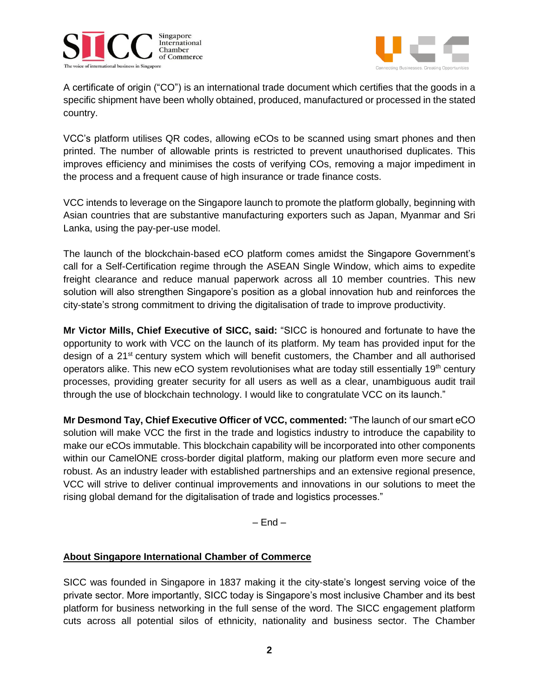



A certificate of origin ("CO") is an international trade document which certifies that the goods in a specific shipment have been wholly obtained, produced, manufactured or processed in the stated country.

VCC's platform utilises QR codes, allowing eCOs to be scanned using smart phones and then printed. The number of allowable prints is restricted to prevent unauthorised duplicates. This improves efficiency and minimises the costs of verifying COs, removing a major impediment in the process and a frequent cause of high insurance or trade finance costs.

VCC intends to leverage on the Singapore launch to promote the platform globally, beginning with Asian countries that are substantive manufacturing exporters such as Japan, Myanmar and Sri Lanka, using the pay-per-use model.

The launch of the blockchain-based eCO platform comes amidst the Singapore Government's call for a Self-Certification regime through the ASEAN Single Window, which aims to expedite freight clearance and reduce manual paperwork across all 10 member countries. This new solution will also strengthen Singapore's position as a global innovation hub and reinforces the city-state's strong commitment to driving the digitalisation of trade to improve productivity.

**Mr Victor Mills, Chief Executive of SICC, said:** "SICC is honoured and fortunate to have the opportunity to work with VCC on the launch of its platform. My team has provided input for the design of a 21<sup>st</sup> century system which will benefit customers, the Chamber and all authorised operators alike. This new eCO system revolutionises what are today still essentially 19<sup>th</sup> century processes, providing greater security for all users as well as a clear, unambiguous audit trail through the use of blockchain technology. I would like to congratulate VCC on its launch."

**Mr Desmond Tay, Chief Executive Officer of VCC, commented:** "The launch of our smart eCO solution will make VCC the first in the trade and logistics industry to introduce the capability to make our eCOs immutable. This blockchain capability will be incorporated into other components within our CamelONE cross-border digital platform, making our platform even more secure and robust. As an industry leader with established partnerships and an extensive regional presence, VCC will strive to deliver continual improvements and innovations in our solutions to meet the rising global demand for the digitalisation of trade and logistics processes."

 $-$  End  $-$ 

# **About Singapore International Chamber of Commerce**

SICC was founded in Singapore in 1837 making it the city-state's longest serving voice of the private sector. More importantly, SICC today is Singapore's most inclusive Chamber and its best platform for business networking in the full sense of the word. The SICC engagement platform cuts across all potential silos of ethnicity, nationality and business sector. The Chamber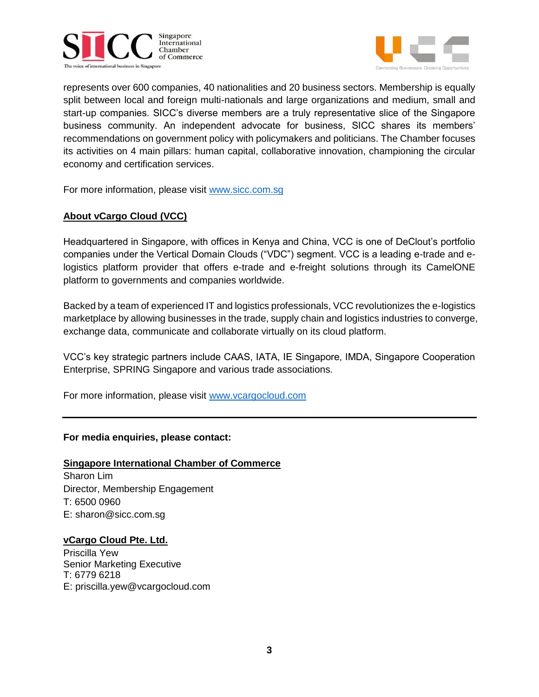



represents over 600 companies, 40 nationalities and 20 business sectors. Membership is equally split between local and foreign multi-nationals and large organizations and medium, small and start-up companies. SICC's diverse members are a truly representative slice of the Singapore business community. An independent advocate for business, SICC shares its members' recommendations on government policy with policymakers and politicians. The Chamber focuses its activities on 4 main pillars: human capital, collaborative innovation, championing the circular economy and certification services.

For more information, please visit [www.sicc.com.sg](http://www.sicc.com.sg/)

## **About vCargo Cloud (VCC)**

Headquartered in Singapore, with offices in Kenya and China, VCC is one of DeClout's portfolio companies under the Vertical Domain Clouds ("VDC") segment. VCC is a leading e-trade and elogistics platform provider that offers e-trade and e-freight solutions through its CamelONE platform to governments and companies worldwide.

Backed by a team of experienced IT and logistics professionals, VCC revolutionizes the e-logistics marketplace by allowing businesses in the trade, supply chain and logistics industries to converge, exchange data, communicate and collaborate virtually on its cloud platform.

VCC's key strategic partners include CAAS, IATA, IE Singapore, IMDA, Singapore Cooperation Enterprise, SPRING Singapore and various trade associations.

For more information, please visit [www.vcargocloud.com](http://www.vcargocloud.com/)

## **For media enquiries, please contact:**

## **Singapore International Chamber of Commerce**

Sharon Lim Director, Membership Engagement T: 6500 0960 E: sharon@sicc.com.sg

## **vCargo Cloud Pte. Ltd.**

Priscilla Yew Senior Marketing Executive T: 6779 6218 E: priscilla.yew@vcargocloud.com